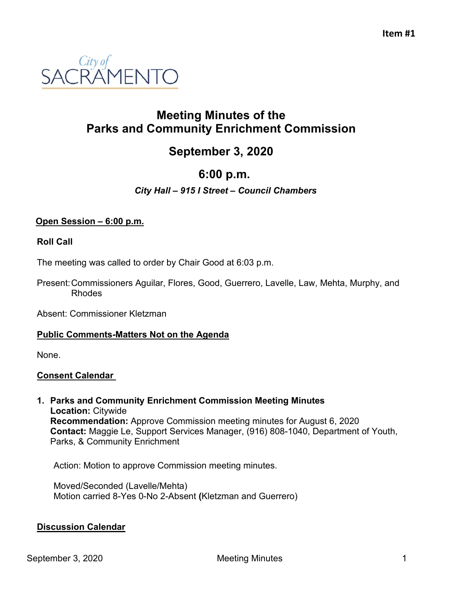

# **Meeting Minutes of the Parks and Community Enrichment Commission**

# **September 3, 2020**

# **6:00 p.m.**

# *City Hall – 915 I Street – Council Chambers*

#### **Open Session – 6:00 p.m.**

#### **Roll Call**

The meeting was called to order by Chair Good at 6:03 p.m.

Present:Commissioners Aguilar, Flores, Good, Guerrero, Lavelle, Law, Mehta, Murphy, and Rhodes

Absent: Commissioner Kletzman

#### **Public Comments-Matters Not on the Agenda**

None.

#### **Consent Calendar**

**1. Parks and Community Enrichment Commission Meeting Minutes Location:** Citywide **Recommendation:** Approve Commission meeting minutes for August 6, 2020 **Contact:** Maggie Le, Support Services Manager, (916) 808-1040, Department of Youth, Parks, & Community Enrichment

Action: Motion to approve Commission meeting minutes.

Moved/Seconded (Lavelle/Mehta) Motion carried 8-Yes 0-No 2-Absent **(**Kletzman and Guerrero)

### **Discussion Calendar**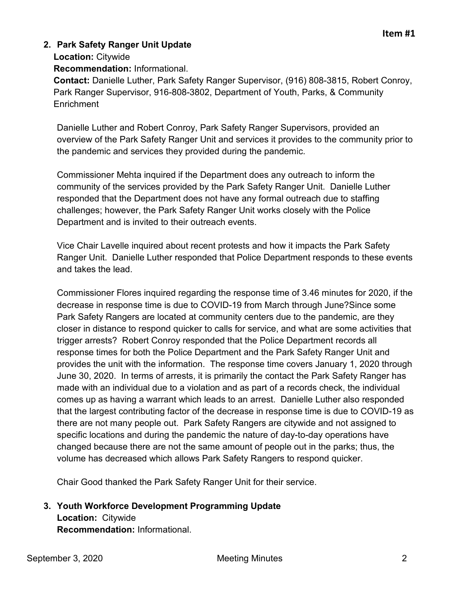# **2. Park Safety Ranger Unit Update**

**Location:** Citywide

**Recommendation:** Informational.

**Contact:** Danielle Luther, Park Safety Ranger Supervisor, (916) 808-3815, Robert Conroy, Park Ranger Supervisor, 916-808-3802, Department of Youth, Parks, & Community **Enrichment** 

Danielle Luther and Robert Conroy, Park Safety Ranger Supervisors, provided an overview of the Park Safety Ranger Unit and services it provides to the community prior to the pandemic and services they provided during the pandemic.

Commissioner Mehta inquired if the Department does any outreach to inform the community of the services provided by the Park Safety Ranger Unit. Danielle Luther responded that the Department does not have any formal outreach due to staffing challenges; however, the Park Safety Ranger Unit works closely with the Police Department and is invited to their outreach events.

Vice Chair Lavelle inquired about recent protests and how it impacts the Park Safety Ranger Unit. Danielle Luther responded that Police Department responds to these events and takes the lead.

Commissioner Flores inquired regarding the response time of 3.46 minutes for 2020, if the decrease in response time is due to COVID-19 from March through June?Since some Park Safety Rangers are located at community centers due to the pandemic, are they closer in distance to respond quicker to calls for service, and what are some activities that trigger arrests? Robert Conroy responded that the Police Department records all response times for both the Police Department and the Park Safety Ranger Unit and provides the unit with the information. The response time covers January 1, 2020 through June 30, 2020. In terms of arrests, it is primarily the contact the Park Safety Ranger has made with an individual due to a violation and as part of a records check, the individual comes up as having a warrant which leads to an arrest. Danielle Luther also responded that the largest contributing factor of the decrease in response time is due to COVID-19 as there are not many people out. Park Safety Rangers are citywide and not assigned to specific locations and during the pandemic the nature of day-to-day operations have changed because there are not the same amount of people out in the parks; thus, the volume has decreased which allows Park Safety Rangers to respond quicker.

Chair Good thanked the Park Safety Ranger Unit for their service.

# **3. Youth Workforce Development Programming Update Location:** Citywide

**Recommendation:** Informational.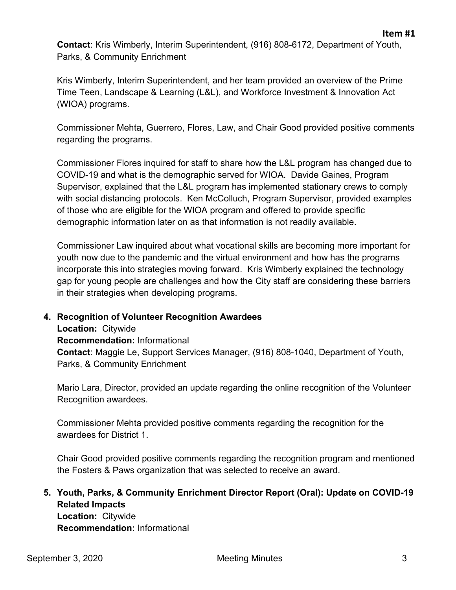**Contact**: Kris Wimberly, Interim Superintendent, (916) 808-6172, Department of Youth, Parks, & Community Enrichment

Kris Wimberly, Interim Superintendent, and her team provided an overview of the Prime Time Teen, Landscape & Learning (L&L), and Workforce Investment & Innovation Act (WIOA) programs.

Commissioner Mehta, Guerrero, Flores, Law, and Chair Good provided positive comments regarding the programs.

Commissioner Flores inquired for staff to share how the L&L program has changed due to COVID-19 and what is the demographic served for WIOA. Davide Gaines, Program Supervisor, explained that the L&L program has implemented stationary crews to comply with social distancing protocols. Ken McColluch, Program Supervisor, provided examples of those who are eligible for the WIOA program and offered to provide specific demographic information later on as that information is not readily available.

Commissioner Law inquired about what vocational skills are becoming more important for youth now due to the pandemic and the virtual environment and how has the programs incorporate this into strategies moving forward. Kris Wimberly explained the technology gap for young people are challenges and how the City staff are considering these barriers in their strategies when developing programs.

### **4. Recognition of Volunteer Recognition Awardees**

**Location:** Citywide **Recommendation:** Informational **Contact**: Maggie Le, Support Services Manager, (916) 808-1040, Department of Youth, Parks, & Community Enrichment

Mario Lara, Director, provided an update regarding the online recognition of the Volunteer Recognition awardees.

Commissioner Mehta provided positive comments regarding the recognition for the awardees for District 1.

Chair Good provided positive comments regarding the recognition program and mentioned the Fosters & Paws organization that was selected to receive an award.

### **5. Youth, Parks, & Community Enrichment Director Report (Oral): Update on COVID-19 Related Impacts Location:** Citywide

**Recommendation:** Informational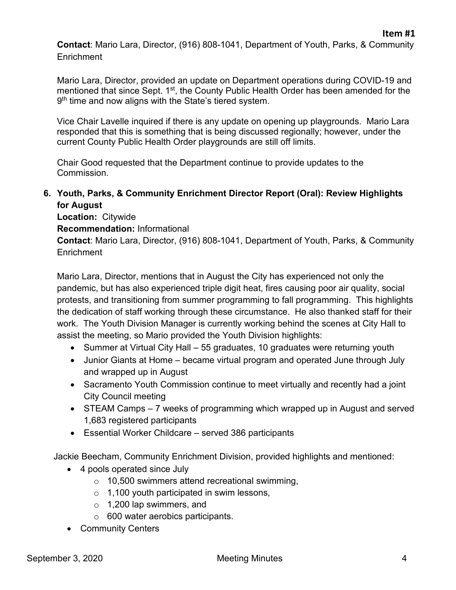**Contact**: Mario Lara, Director, (916) 808-1041, Department of Youth, Parks, & Community **Enrichment** 

Mario Lara, Director, provided an update on Department operations during COVID-19 and mentioned that since Sept. 1<sup>st</sup>, the County Public Health Order has been amended for the 9<sup>th</sup> time and now aligns with the State's tiered system.

Vice Chair Lavelle inquired if there is any update on opening up playgrounds. Mario Lara responded that this is something that is being discussed regionally; however, under the current County Public Health Order playgrounds are still off limits.

Chair Good requested that the Department continue to provide updates to the Commission.

# **6. Youth, Parks, & Community Enrichment Director Report (Oral): Review Highlights for August**

**Location:** Citywide

**Recommendation:** Informational

**Contact**: Mario Lara, Director, (916) 808-1041, Department of Youth, Parks, & Community Enrichment

Mario Lara, Director, mentions that in August the City has experienced not only the pandemic, but has also experienced triple digit heat, fires causing poor air quality, social protests, and transitioning from summer programming to fall programming. This highlights the dedication of staff working through these circumstance. He also thanked staff for their work. The Youth Division Manager is currently working behind the scenes at City Hall to assist the meeting, so Mario provided the Youth Division highlights:

- Summer at Virtual City Hall 55 graduates, 10 graduates were returning youth
- Junior Giants at Home became virtual program and operated June through July and wrapped up in August
- Sacramento Youth Commission continue to meet virtually and recently had a joint City Council meeting
- STEAM Camps 7 weeks of programming which wrapped up in August and served 1,683 registered participants
- Essential Worker Childcare served 386 participants

Jackie Beecham, Community Enrichment Division, provided highlights and mentioned:

- 4 pools operated since July
	- o 10,500 swimmers attend recreational swimming,
	- $\circ$  1,100 youth participated in swim lessons,
	- o 1,200 lap swimmers, and
	- o 600 water aerobics participants.
- Community Centers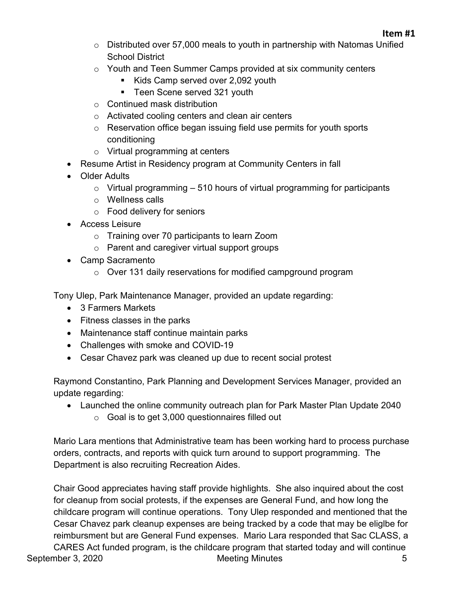- o Distributed over 57,000 meals to youth in partnership with Natomas Unified School District
- $\circ$  Youth and Teen Summer Camps provided at six community centers
	- Kids Camp served over 2,092 youth
	- **Teen Scene served 321 youth**
- o Continued mask distribution
- o Activated cooling centers and clean air centers
- o Reservation office began issuing field use permits for youth sports conditioning
- o Virtual programming at centers
- Resume Artist in Residency program at Community Centers in fall
- Older Adults
	- $\circ$  Virtual programming  $-510$  hours of virtual programming for participants
	- o Wellness calls
	- o Food delivery for seniors
- Access Leisure
	- o Training over 70 participants to learn Zoom
	- o Parent and caregiver virtual support groups
- Camp Sacramento
	- o Over 131 daily reservations for modified campground program

Tony Ulep, Park Maintenance Manager, provided an update regarding:

- 3 Farmers Markets
- Fitness classes in the parks
- Maintenance staff continue maintain parks
- Challenges with smoke and COVID-19
- Cesar Chavez park was cleaned up due to recent social protest

Raymond Constantino, Park Planning and Development Services Manager, provided an update regarding:

- Launched the online community outreach plan for Park Master Plan Update 2040
	- $\circ$  Goal is to get 3,000 questionnaires filled out

Mario Lara mentions that Administrative team has been working hard to process purchase orders, contracts, and reports with quick turn around to support programming. The Department is also recruiting Recreation Aides.

Chair Good appreciates having staff provide highlights. She also inquired about the cost for cleanup from social protests, if the expenses are General Fund, and how long the childcare program will continue operations. Tony Ulep responded and mentioned that the Cesar Chavez park cleanup expenses are being tracked by a code that may be eliglbe for reimbursment but are General Fund expenses. Mario Lara responded that Sac CLASS, a

September 3, 2020 Meeting Minutes 5 CARES Act funded program, is the childcare program that started today and will continue